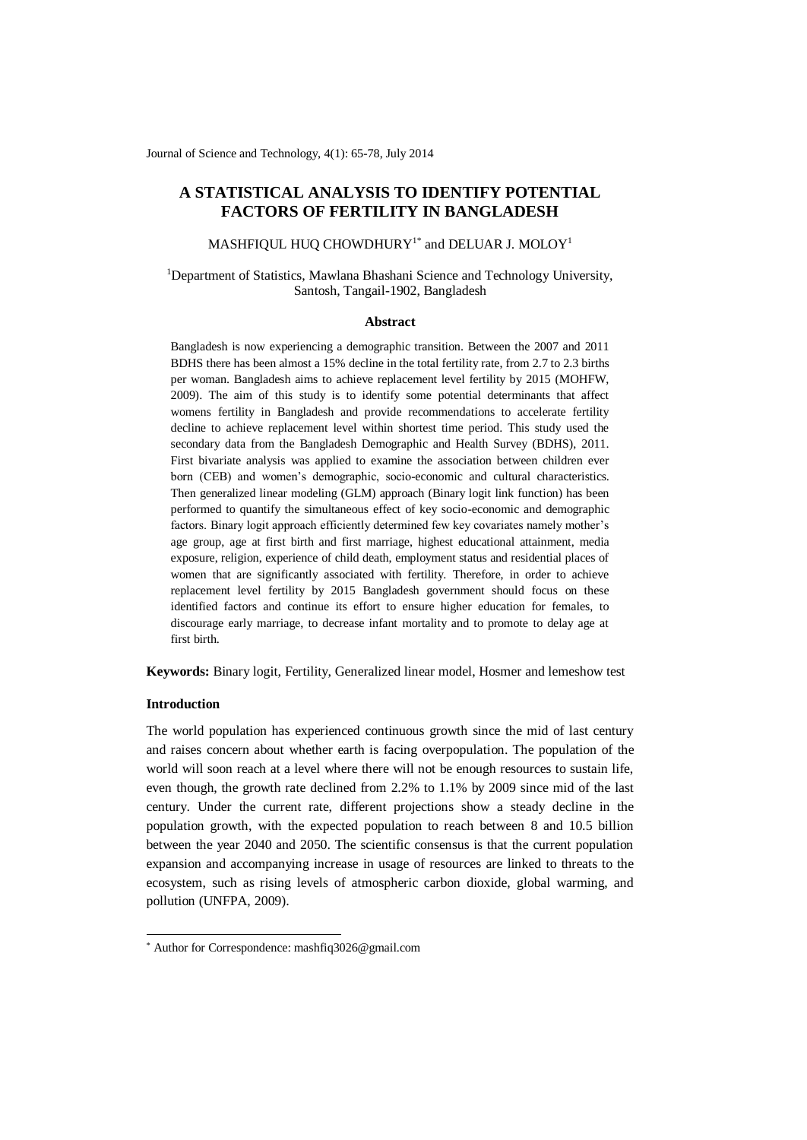Journal of Science and Technology, 4(1): 65-78, July 2014

# **A STATISTICAL ANALYSIS TO IDENTIFY POTENTIAL FACTORS OF FERTILITY IN BANGLADESH**

MASHFIQUL HUQ CHOWDHURY $^{1^\ast}$  and DELUAR J. MOLOY $^1$ 

<sup>1</sup>Department of Statistics, Mawlana Bhashani Science and Technology University, Santosh, Tangail-1902, Bangladesh

#### **Abstract**

Bangladesh is now experiencing a demographic transition. Between the 2007 and 2011 BDHS there has been almost a 15% decline in the total fertility rate, from 2.7 to 2.3 births per woman. Bangladesh aims to achieve replacement level fertility by 2015 (MOHFW, 2009). The aim of this study is to identify some potential determinants that affect womens fertility in Bangladesh and provide recommendations to accelerate fertility decline to achieve replacement level within shortest time period. This study used the secondary data from the Bangladesh Demographic and Health Survey (BDHS), 2011. First bivariate analysis was applied to examine the association between children ever born (CEB) and women's demographic, socio-economic and cultural characteristics. Then generalized linear modeling (GLM) approach (Binary logit link function) has been performed to quantify the simultaneous effect of key socio-economic and demographic factors. Binary logit approach efficiently determined few key covariates namely mother's age group, age at first birth and first marriage, highest educational attainment, media exposure, religion, experience of child death, employment status and residential places of women that are significantly associated with fertility. Therefore, in order to achieve replacement level fertility by 2015 Bangladesh government should focus on these identified factors and continue its effort to ensure higher education for females, to discourage early marriage, to decrease infant mortality and to promote to delay age at first birth.

**Keywords:** Binary logit, Fertility, Generalized linear model, Hosmer and lemeshow test

# **Introduction**

-

The world population has experienced continuous growth since the mid of last century and raises concern about whether earth is facing overpopulation. The population of the world will soon reach at a level where there will not be enough resources to sustain life, even though, the growth rate declined from 2.2% to 1.1% by 2009 since mid of the last century. Under the current rate, different projections show a steady decline in the population growth, with the expected population to reach between 8 and 10.5 billion between the year 2040 and 2050. The scientific consensus is that the current population expansion and accompanying increase in usage of resources are linked to threats to the ecosystem, such as rising levels of atmospheric carbon dioxide, global warming, and pollution (UNFPA, 2009).

<sup>\*</sup> Author for Correspondence[: mashfiq3026@gmail.com](mailto:mashfiq3026@gmail.com)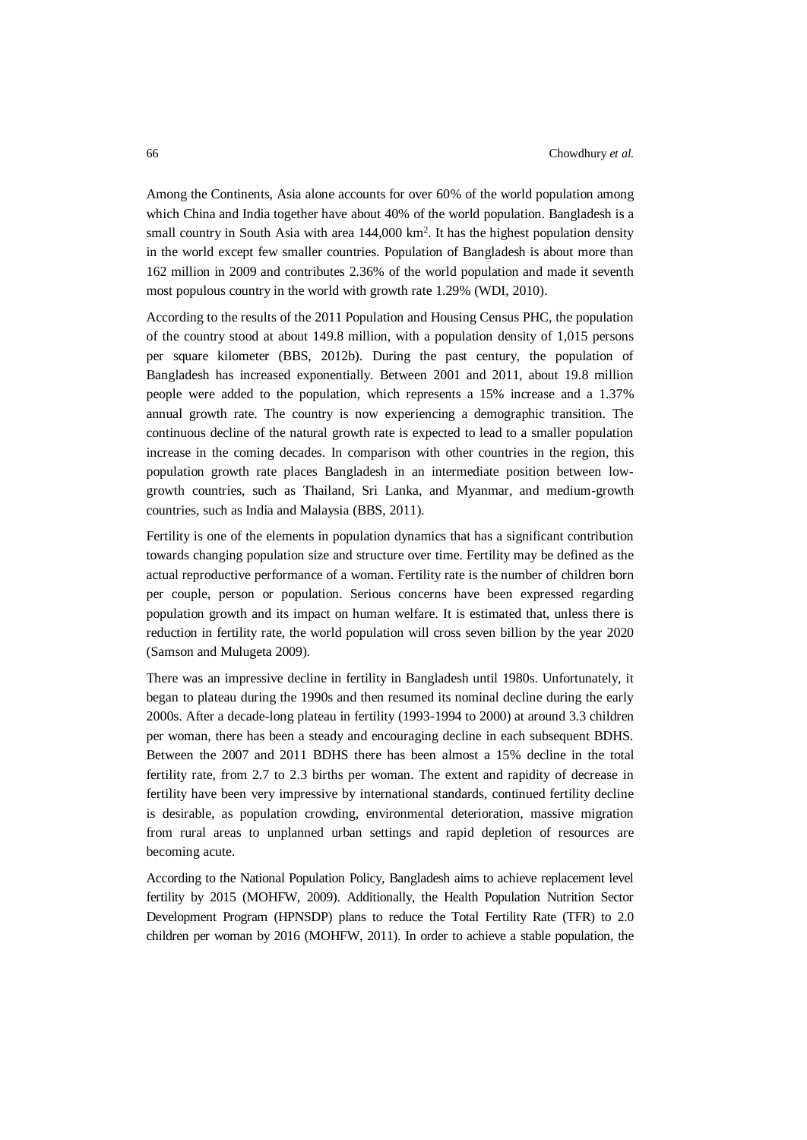Among the Continents, Asia alone accounts for over 60% of the world population among which China and India together have about 40% of the world population. Bangladesh is a small country in South Asia with area  $144,000 \text{ km}^2$ . It has the highest population density in the world except few smaller countries. Population of Bangladesh is about more than 162 million in 2009 and contributes 2.36% of the world population and made it seventh most populous country in the world with growth rate 1.29% (WDI, 2010).

According to the results of the 2011 Population and Housing Census PHC, the population of the country stood at about 149.8 million, with a population density of 1,015 persons per square kilometer (BBS, 2012b). During the past century, the population of Bangladesh has increased exponentially. Between 2001 and 2011, about 19.8 million people were added to the population, which represents a 15% increase and a 1.37% annual growth rate. The country is now experiencing a demographic transition. The continuous decline of the natural growth rate is expected to lead to a smaller population increase in the coming decades. In comparison with other countries in the region, this population growth rate places Bangladesh in an intermediate position between lowgrowth countries, such as Thailand, Sri Lanka, and Myanmar, and medium-growth countries, such as India and Malaysia (BBS, 2011).

Fertility is one of the elements in population dynamics that has a significant contribution towards changing population size and structure over time. Fertility may be defined as the actual reproductive performance of a woman. Fertility rate is the number of children born per couple, person or population. Serious concerns have been expressed regarding population growth and its impact on human welfare. It is estimated that, unless there is reduction in fertility rate, the world population will cross seven billion by the year 2020 (Samson and Mulugeta 2009).

There was an impressive decline in fertility in Bangladesh until 1980s. Unfortunately, it began to plateau during the 1990s and then resumed its nominal decline during the early 2000s. After a decade-long plateau in fertility (1993-1994 to 2000) at around 3.3 children per woman, there has been a steady and encouraging decline in each subsequent BDHS. Between the 2007 and 2011 BDHS there has been almost a 15% decline in the total fertility rate, from 2.7 to 2.3 births per woman. The extent and rapidity of decrease in fertility have been very impressive by international standards, continued fertility decline is desirable, as population crowding, environmental deterioration, massive migration from rural areas to unplanned urban settings and rapid depletion of resources are becoming acute.

According to the National Population Policy, Bangladesh aims to achieve replacement level fertility by 2015 (MOHFW, 2009). Additionally, the Health Population Nutrition Sector Development Program (HPNSDP) plans to reduce the Total Fertility Rate (TFR) to 2.0 children per woman by 2016 (MOHFW, 2011). In order to achieve a stable population, the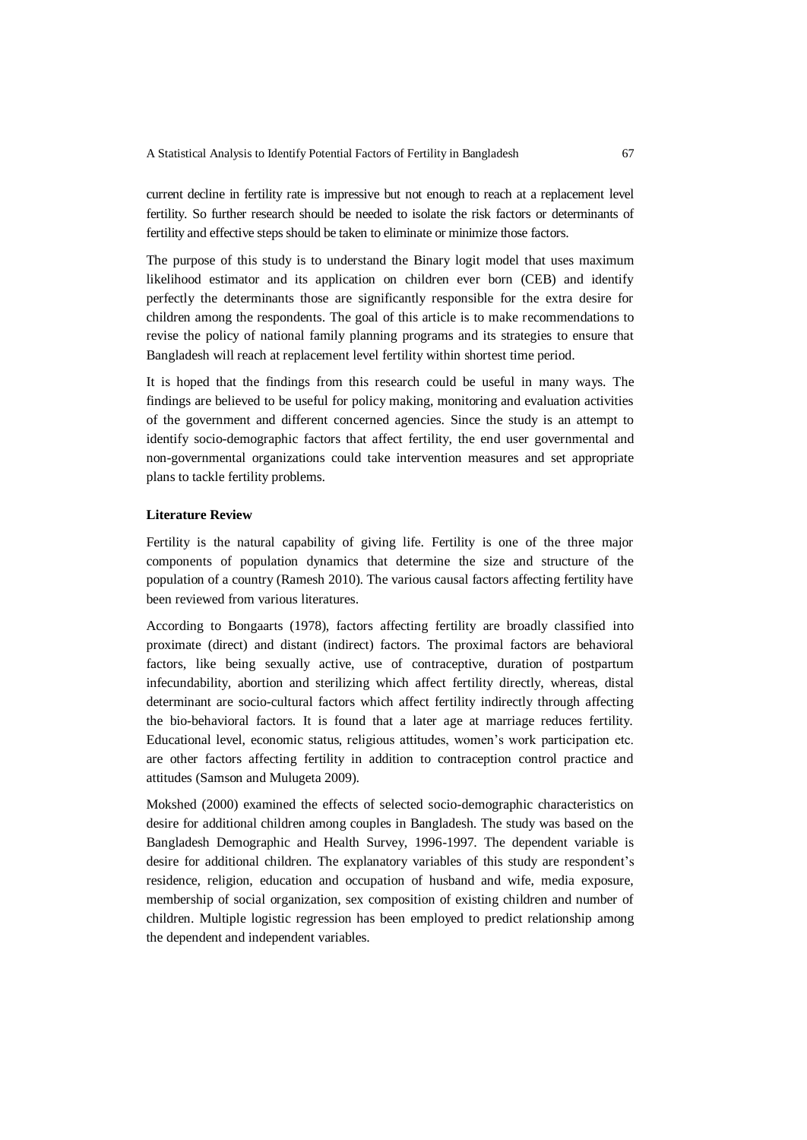current decline in fertility rate is impressive but not enough to reach at a replacement level fertility. So further research should be needed to isolate the risk factors or determinants of fertility and effective steps should be taken to eliminate or minimize those factors.

The purpose of this study is to understand the Binary logit model that uses maximum likelihood estimator and its application on children ever born (CEB) and identify perfectly the determinants those are significantly responsible for the extra desire for children among the respondents. The goal of this article is to make recommendations to revise the policy of national family planning programs and its strategies to ensure that Bangladesh will reach at replacement level fertility within shortest time period.

It is hoped that the findings from this research could be useful in many ways. The findings are believed to be useful for policy making, monitoring and evaluation activities of the government and different concerned agencies. Since the study is an attempt to identify socio-demographic factors that affect fertility, the end user governmental and non-governmental organizations could take intervention measures and set appropriate plans to tackle fertility problems.

### **Literature Review**

Fertility is the natural capability of giving life. Fertility is one of the three major components of population dynamics that determine the size and structure of the population of a country (Ramesh 2010). The various causal factors affecting fertility have been reviewed from various literatures.

According to Bongaarts (1978), factors affecting fertility are broadly classified into proximate (direct) and distant (indirect) factors. The proximal factors are behavioral factors, like being sexually active, use of contraceptive, duration of postpartum infecundability, abortion and sterilizing which affect fertility directly, whereas, distal determinant are socio-cultural factors which affect fertility indirectly through affecting the bio-behavioral factors. It is found that a later age at marriage reduces fertility. Educational level, economic status, religious attitudes, women's work participation etc. are other factors affecting fertility in addition to contraception control practice and attitudes (Samson and Mulugeta 2009).

Mokshed (2000) examined the effects of selected socio-demographic characteristics on desire for additional children among couples in Bangladesh. The study was based on the Bangladesh Demographic and Health Survey, 1996-1997. The dependent variable is desire for additional children. The explanatory variables of this study are respondent's residence, religion, education and occupation of husband and wife, media exposure, membership of social organization, sex composition of existing children and number of children. Multiple logistic regression has been employed to predict relationship among the dependent and independent variables.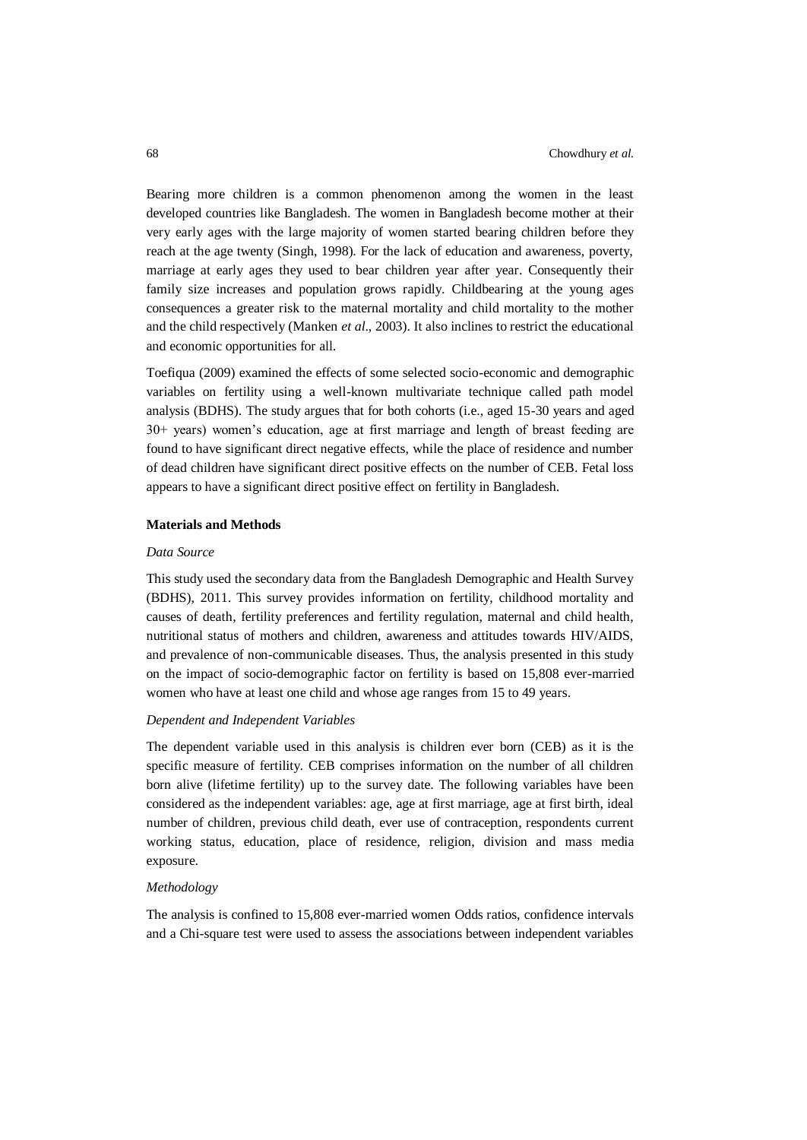Bearing more children is a common phenomenon among the women in the least developed countries like Bangladesh. The women in Bangladesh become mother at their very early ages with the large majority of women started bearing children before they reach at the age twenty (Singh, 1998). For the lack of education and awareness, poverty, marriage at early ages they used to bear children year after year. Consequently their family size increases and population grows rapidly. Childbearing at the young ages consequences a greater risk to the maternal mortality and child mortality to the mother and the child respectively (Manken *et al*., 2003). It also inclines to restrict the educational and economic opportunities for all.

Toefiqua (2009) examined the effects of some selected socio-economic and demographic variables on fertility using a well-known multivariate technique called path model analysis (BDHS). The study argues that for both cohorts (i.e., aged 15-30 years and aged 30+ years) women's education, age at first marriage and length of breast feeding are found to have significant direct negative effects, while the place of residence and number of dead children have significant direct positive effects on the number of CEB. Fetal loss appears to have a significant direct positive effect on fertility in Bangladesh.

## **Materials and Methods**

### *Data Source*

This study used the secondary data from the Bangladesh Demographic and Health Survey (BDHS), 2011. This survey provides information on fertility, childhood mortality and causes of death, fertility preferences and fertility regulation, maternal and child health, nutritional status of mothers and children, awareness and attitudes towards HIV/AIDS, and prevalence of non-communicable diseases. Thus, the analysis presented in this study on the impact of socio-demographic factor on fertility is based on 15,808 ever-married women who have at least one child and whose age ranges from 15 to 49 years.

### *Dependent and Independent Variables*

The dependent variable used in this analysis is children ever born (CEB) as it is the specific measure of fertility. CEB comprises information on the number of all children born alive (lifetime fertility) up to the survey date. The following variables have been considered as the independent variables: age, age at first marriage, age at first birth, ideal number of children, previous child death, ever use of contraception, respondents current working status, education, place of residence, religion, division and mass media exposure.

#### *Methodology*

The analysis is confined to 15,808 ever-married women Odds ratios, confidence intervals and a Chi-square test were used to assess the associations between independent variables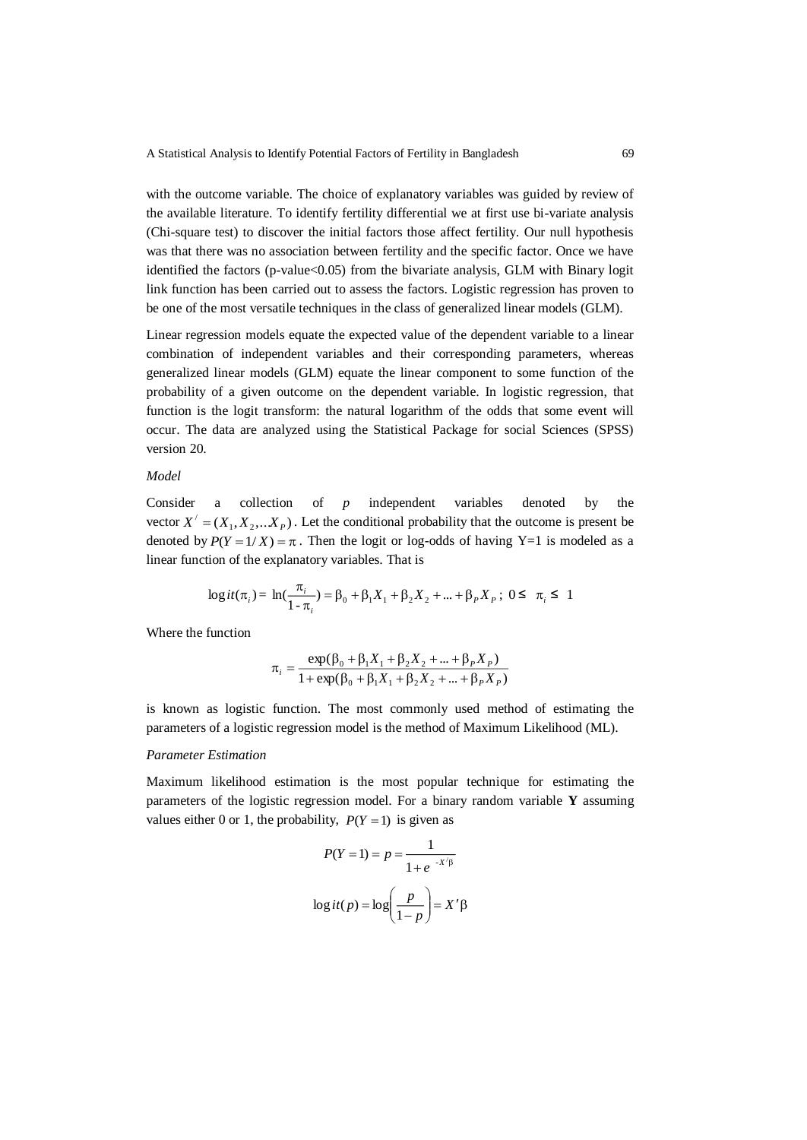with the outcome variable. The choice of explanatory variables was guided by review of the available literature. To identify fertility differential we at first use bi-variate analysis (Chi-square test) to discover the initial factors those affect fertility. Our null hypothesis was that there was no association between fertility and the specific factor. Once we have identified the factors (p-value<0.05) from the bivariate analysis, GLM with Binary logit link function has been carried out to assess the factors. Logistic regression has proven to be one of the most versatile techniques in the class of generalized linear models (GLM).

Linear regression models equate the expected value of the dependent variable to a linear combination of independent variables and their corresponding parameters, whereas generalized linear models (GLM) equate the linear component to some function of the probability of a given outcome on the dependent variable. In logistic regression, that function is the logit transform: the natural logarithm of the odds that some event will occur. The data are analyzed using the Statistical Package for social Sciences (SPSS) version 20.

# *Model*

Consider a collection of *p* independent variables denoted by the vector  $X' = (X_1, X_2, \ldots, X_p)$ . Let the conditional probability that the outcome is present be denoted by  $P(Y = 1/X) = \pi$ . Then the logit or log-odds of having Y=1 is modeled as a linear function of the explanatory variables. That is

$$
\log it(\pi_i) = \ln(\frac{\pi_i}{1 - \pi_i}) = \beta_0 + \beta_1 X_1 + \beta_2 X_2 + \dots + \beta_p X_p; \ 0 \le \pi_i \le 1
$$

Where the function

$$
\pi_i = \frac{\exp(\beta_0 + \beta_1 X_1 + \beta_2 X_2 + \dots + \beta_P X_P)}{1 + \exp(\beta_0 + \beta_1 X_1 + \beta_2 X_2 + \dots + \beta_P X_P)}
$$

is known as logistic function. The most commonly used method of estimating the parameters of a logistic regression model is the method of Maximum Likelihood (ML).

## *Parameter Estimation*

Maximum likelihood estimation is the most popular technique for estimating the parameters of the logistic regression model. For a binary random variable **Y** assuming values either 0 or 1, the probability,  $P(Y = 1)$  is given as

$$
P(Y = 1) = p = \frac{1}{1 + e^{-X/\beta}}
$$

$$
\log it(p) = \log\left(\frac{p}{1 - p}\right) = X'\beta
$$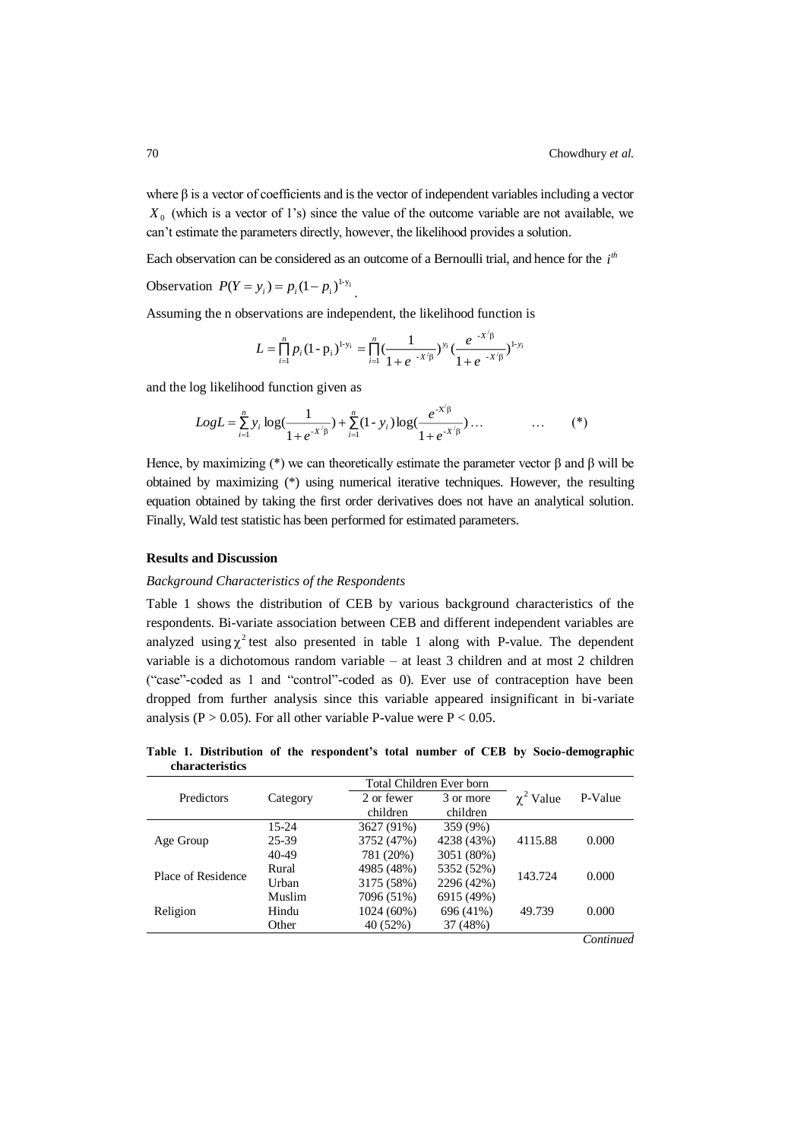where  $\beta$  is a vector of coefficients and is the vector of independent variables including a vector  $X_0$  (which is a vector of 1's) since the value of the outcome variable are not available, we can't estimate the parameters directly, however, the likelihood provides a solution.

Each observation can be considered as an outcome of a Bernoulli trial, and hence for the  $i<sup>th</sup>$ 

Observation  $P(Y = y_i) = p_i (1 - p_i)^{1-y_i}$ .

Assuming the n observations are independent, the likelihood function is

$$
L = \prod_{i=1}^{n} p_i (1 - p_i)^{1 - y_i} = \prod_{i=1}^{n} \left( \frac{1}{1 + e^{-x/\beta}} \right)^{y_i} \left( \frac{e^{-x/\beta}}{1 + e^{-x/\beta}} \right)^{1 - y_i}
$$

and the log likelihood function given as

$$
Log L = \sum_{i=1}^{n} y_i \log \left( \frac{1}{1 + e^{-x/\beta}} \right) + \sum_{i=1}^{n} (1 - y_i) \log \left( \frac{e^{-x/\beta}}{1 + e^{-x/\beta}} \right) \dots \tag{*}
$$

Hence, by maximizing (\*) we can theoretically estimate the parameter vector  $\beta$  and  $\beta$  will be obtained by maximizing (\*) using numerical iterative techniques. However, the resulting equation obtained by taking the first order derivatives does not have an analytical solution. Finally, Wald test statistic has been performed for estimated parameters.

### **Results and Discussion**

### *Background Characteristics of the Respondents*

Table 1 shows the distribution of CEB by various background characteristics of the respondents. Bi-variate association between CEB and different independent variables are analyzed using  $\chi^2$  test also presented in table 1 along with P-value. The dependent variable is a dichotomous random variable – at least 3 children and at most 2 children ("case"-coded as 1 and "control"-coded as 0). Ever use of contraception have been dropped from further analysis since this variable appeared insignificant in bi-variate analysis ( $P > 0.05$ ). For all other variable P-value were  $P < 0.05$ .

**Table 1. Distribution of the respondent's total number of CEB by Socio-demographic characteristics**

|                    |           |            | Total Children Ever born |                |         |
|--------------------|-----------|------------|--------------------------|----------------|---------|
| Predictors         | Category  | 2 or fewer | 3 or more                | $\chi^2$ Value | P-Value |
|                    |           | children   | children                 |                |         |
|                    | $15 - 24$ | 3627 (91%) | 359 (9%)                 |                |         |
| Age Group          | 25-39     | 3752 (47%) | 4238 (43%)               | 4115.88        | 0.000   |
|                    | 40-49     | 781 (20%)  | 3051 (80%)               |                |         |
| Place of Residence | Rural     | 4985 (48%) | 5352 (52%)               | 143.724        | 0.000   |
|                    | Urban     | 3175 (58%) | 2296 (42%)               |                |         |
| Religion           | Muslim    | 7096 (51%) | 6915 (49%)               |                | 0.000   |
|                    | Hindu     | 1024 (60%) | 696 (41%)                | 49.739         |         |
|                    | Other     | 40 (52%)   | 37 (48%)                 |                |         |

*Continued*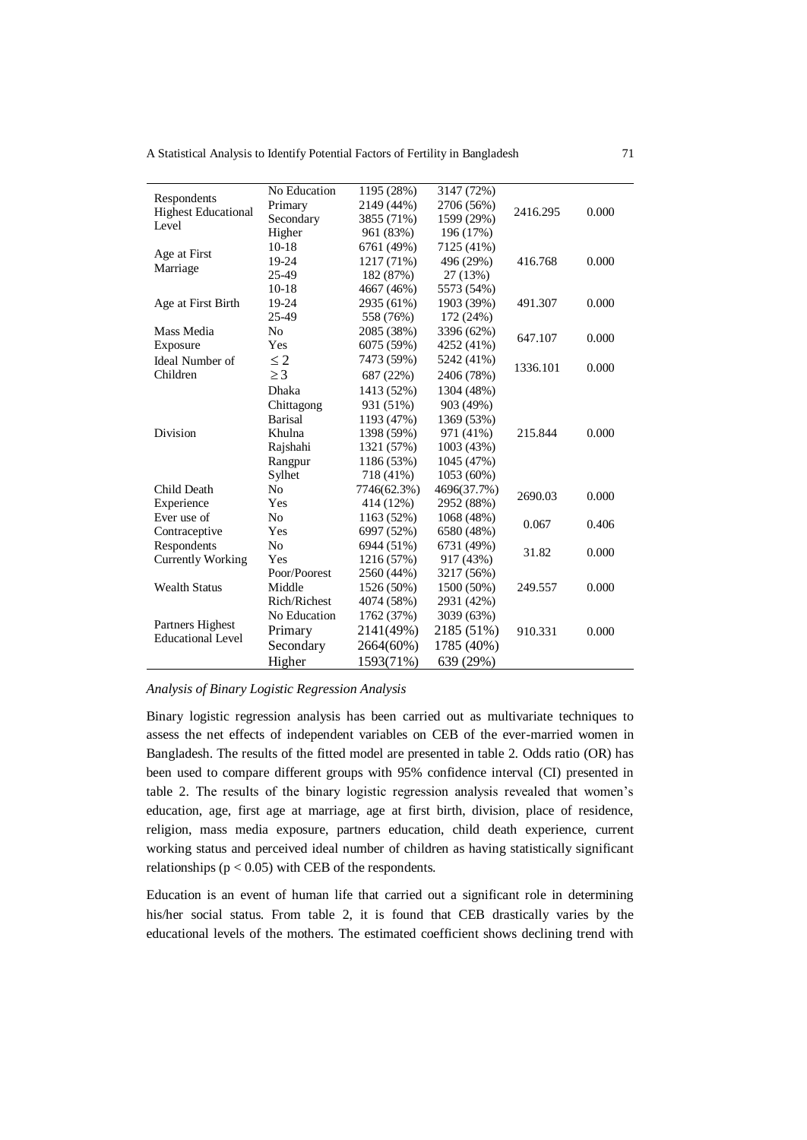A Statistical Analysis to Identify Potential Factors of Fertility in Bangladesh 71

| Respondents                | No Education   | 1195 (28%)  | 3147 (72%)  |          |       |
|----------------------------|----------------|-------------|-------------|----------|-------|
| <b>Highest Educational</b> | Primary        | 2149 (44%)  | 2706 (56%)  | 2416.295 | 0.000 |
| Level                      | Secondary      | 3855 (71%)  | 1599 (29%)  |          |       |
|                            | Higher         | 961 (83%)   | 196 (17%)   |          |       |
| Age at First               | $10-18$        | 6761 (49%)  | 7125 (41%)  |          |       |
| Marriage                   | 19-24          | 1217 (71%)  | 496 (29%)   | 416.768  | 0.000 |
|                            | 25-49          | 182 (87%)   | 27 (13%)    |          |       |
|                            | $10-18$        | 4667 (46%)  | 5573 (54%)  |          |       |
| Age at First Birth         | 19-24          | 2935 (61%)  | 1903 (39%)  | 491.307  | 0.000 |
|                            | 25-49          | 558 (76%)   | 172 (24%)   |          |       |
| Mass Media                 | No             | 2085 (38%)  | 3396 (62%)  | 647.107  | 0.000 |
| Exposure                   | Yes            | 6075 (59%)  | 4252 (41%)  |          |       |
| <b>Ideal Number of</b>     | $\leq$ 2       | 7473 (59%)  | 5242 (41%)  | 1336.101 | 0.000 |
| Children                   | $\geq$ 3       | 687 (22%)   | 2406 (78%)  |          |       |
|                            | Dhaka          | 1413 (52%)  | 1304 (48%)  |          |       |
|                            | Chittagong     | 931 (51%)   | 903 (49%)   |          |       |
|                            | <b>Barisal</b> | 1193 (47%)  | 1369 (53%)  |          |       |
| Division                   | Khulna         | 1398 (59%)  | 971 (41%)   | 215.844  | 0.000 |
|                            | Rajshahi       | 1321 (57%)  | 1003 (43%)  |          |       |
|                            | Rangpur        | 1186 (53%)  | 1045 (47%)  |          |       |
|                            | Sylhet         | 718 (41%)   | 1053 (60%)  |          |       |
| Child Death                | N <sub>0</sub> | 7746(62.3%) | 4696(37.7%) | 2690.03  | 0.000 |
| Experience                 | Yes            | 414 (12%)   | 2952 (88%)  |          |       |
| Ever use of                | N <sub>o</sub> | 1163 (52%)  | 1068 (48%)  |          |       |
| Contraceptive              | Yes            | 6997 (52%)  | 6580 (48%)  | 0.067    | 0.406 |
| Respondents                | No             | 6944 (51%)  | 6731 (49%)  |          |       |
| <b>Currently Working</b>   | Yes            | 1216 (57%)  | 917 (43%)   | 31.82    | 0.000 |
|                            | Poor/Poorest   | 2560 (44%)  | 3217 (56%)  |          |       |
| <b>Wealth Status</b>       | Middle         | 1526 (50%)  | 1500 (50%)  | 249.557  | 0.000 |
|                            | Rich/Richest   | 4074 (58%)  | 2931 (42%)  |          |       |
|                            | No Education   | 1762 (37%)  | 3039 (63%)  |          |       |
| Partners Highest           | Primary        | 2141(49%)   | 2185 (51%)  | 910.331  | 0.000 |
| <b>Educational Level</b>   | Secondary      | 2664(60%)   | 1785 (40%)  |          |       |
|                            | Higher         | 1593(71%)   | 639 (29%)   |          |       |

## *Analysis of Binary Logistic Regression Analysis*

Binary logistic regression analysis has been carried out as multivariate techniques to assess the net effects of independent variables on CEB of the ever-married women in Bangladesh. The results of the fitted model are presented in table 2. Odds ratio (OR) has been used to compare different groups with 95% confidence interval (CI) presented in table 2. The results of the binary logistic regression analysis revealed that women's education, age, first age at marriage, age at first birth, division, place of residence, religion, mass media exposure, partners education, child death experience, current working status and perceived ideal number of children as having statistically significant relationships ( $p < 0.05$ ) with CEB of the respondents.

Education is an event of human life that carried out a significant role in determining his/her social status. From table 2, it is found that CEB drastically varies by the educational levels of the mothers. The estimated coefficient shows declining trend with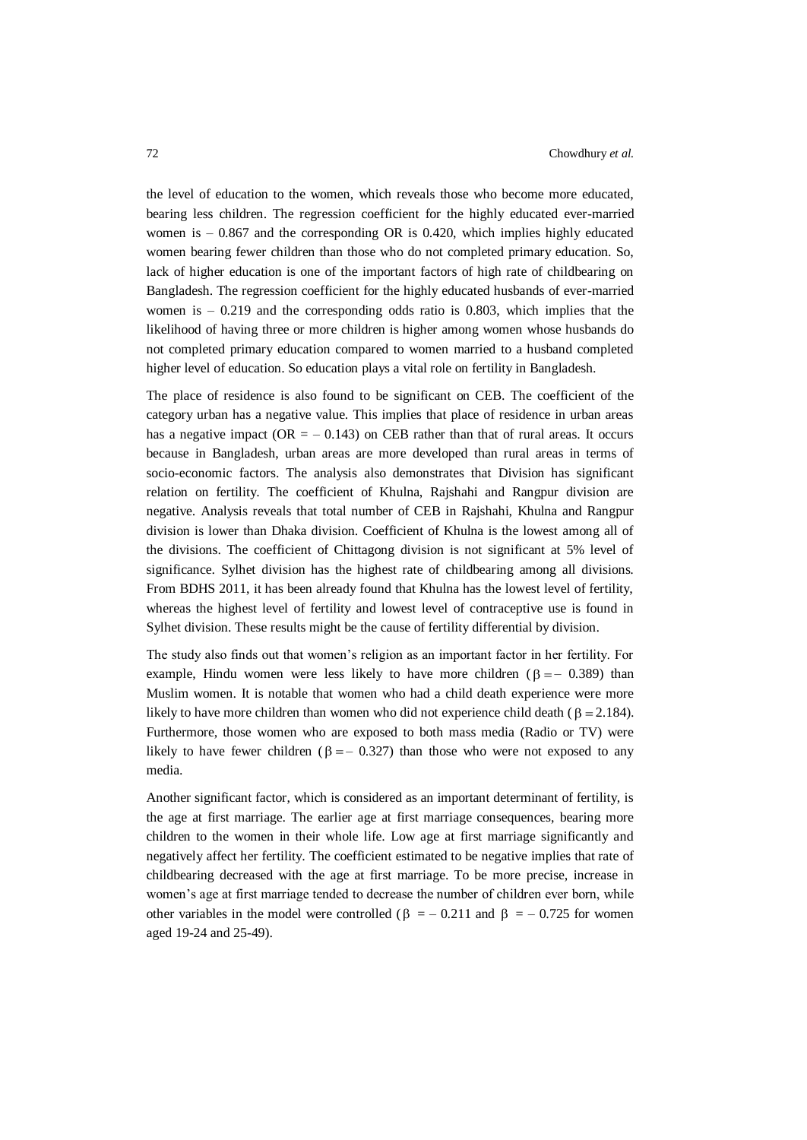the level of education to the women, which reveals those who become more educated, bearing less children. The regression coefficient for the highly educated ever-married women is  $-0.867$  and the corresponding OR is 0.420, which implies highly educated women bearing fewer children than those who do not completed primary education. So, lack of higher education is one of the important factors of high rate of childbearing on Bangladesh. The regression coefficient for the highly educated husbands of ever-married women is  $-0.219$  and the corresponding odds ratio is 0.803, which implies that the likelihood of having three or more children is higher among women whose husbands do not completed primary education compared to women married to a husband completed higher level of education. So education plays a vital role on fertility in Bangladesh.

The place of residence is also found to be significant on CEB. The coefficient of the category urban has a negative value. This implies that place of residence in urban areas has a negative impact ( $OR = -0.143$ ) on CEB rather than that of rural areas. It occurs because in Bangladesh, urban areas are more developed than rural areas in terms of socio-economic factors. The analysis also demonstrates that Division has significant relation on fertility. The coefficient of Khulna, Rajshahi and Rangpur division are negative. Analysis reveals that total number of CEB in Rajshahi, Khulna and Rangpur division is lower than Dhaka division. Coefficient of Khulna is the lowest among all of the divisions. The coefficient of Chittagong division is not significant at 5% level of significance. Sylhet division has the highest rate of childbearing among all divisions. From BDHS 2011, it has been already found that Khulna has the lowest level of fertility, whereas the highest level of fertility and lowest level of contraceptive use is found in Sylhet division. These results might be the cause of fertility differential by division.

The study also finds out that women's religion as an important factor in her fertility. For example, Hindu women were less likely to have more children  $(\beta = -0.389)$  than Muslim women. It is notable that women who had a child death experience were more likely to have more children than women who did not experience child death ( $\beta = 2.184$ ). Furthermore, those women who are exposed to both mass media (Radio or TV) were likely to have fewer children ( $\beta = -0.327$ ) than those who were not exposed to any media.

Another significant factor, which is considered as an important determinant of fertility, is the age at first marriage. The earlier age at first marriage consequences, bearing more children to the women in their whole life. Low age at first marriage significantly and negatively affect her fertility. The coefficient estimated to be negative implies that rate of childbearing decreased with the age at first marriage. To be more precise, increase in women's age at first marriage tended to decrease the number of children ever born, while other variables in the model were controlled ( $\beta = -0.211$  and  $\beta = -0.725$  for women aged 19-24 and 25-49).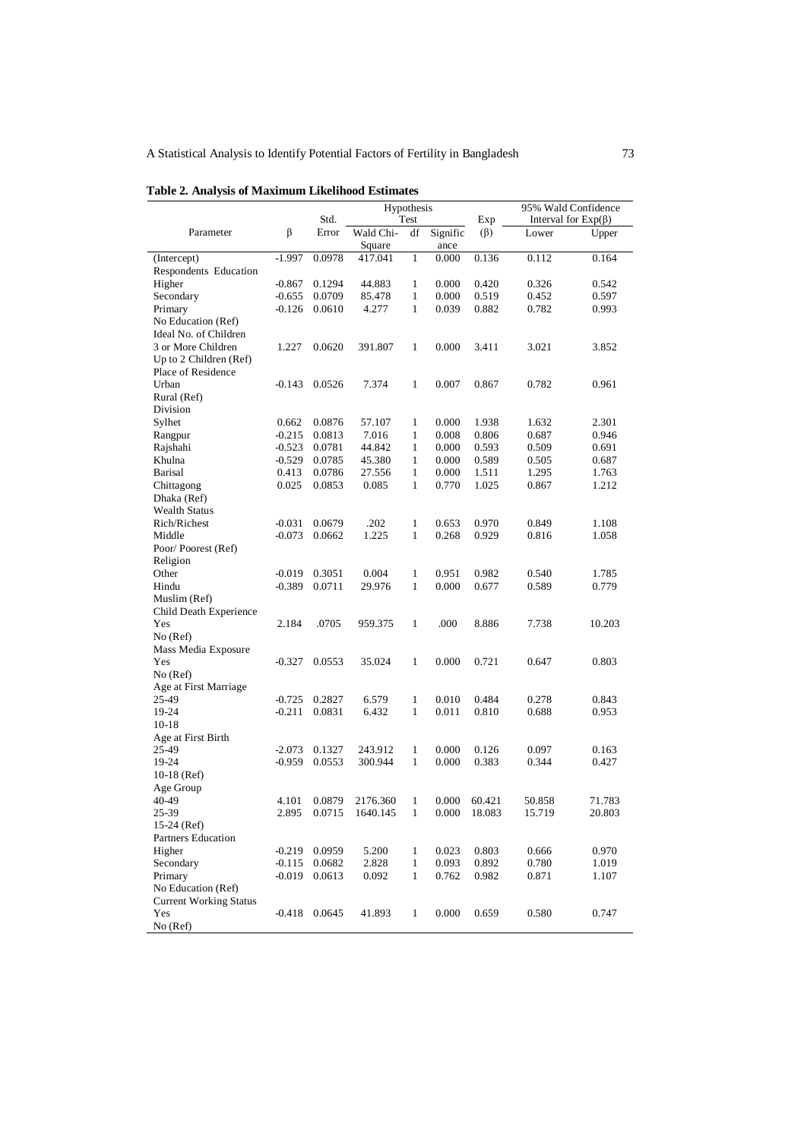# A Statistical Analysis to Identify Potential Factors of Fertility in Bangladesh 73

| Std.<br>Interval for $Exp(\beta)$<br>Test<br>Exp<br>β<br>Parameter<br>Error<br>$(\beta)$<br>Wald Chi-<br>df<br>Signific<br>Lower<br>Square<br>ance<br>$-1.997$<br>0.0978<br>0.000<br>0.136<br>0.112<br>417.041<br>$\mathbf{1}$<br>(Intercept)<br>Respondents Education<br>Higher<br>0.1294<br>44.883<br>$\mathbf{1}$<br>0.000<br>0.420<br>$-0.867$<br>0.326<br>$\mathbf{1}$<br>Secondary<br>$-0.655$<br>85.478<br>0.000<br>0.519<br>0.452<br>0.0709<br>Primary<br>4.277<br>$\mathbf{1}$<br>0.039<br>0.882<br>0.782<br>$-0.126$<br>0.0610<br>No Education (Ref)<br>Ideal No. of Children<br>3 or More Children<br>1.227<br>0.000<br>0.0620<br>391.807<br>1<br>3.411<br>3.021<br>Up to 2 Children (Ref)<br>Place of Residence<br>Urban<br>0.0526<br>7.374<br>$\mathbf{1}$<br>0.007<br>0.867<br>$-0.143$<br>0.782<br>Rural (Ref)<br>Division<br>Sylhet<br>0.0876<br>57.107<br>$\mathbf{1}$<br>0.000<br>1.938<br>0.662<br>1.632<br>$\mathbf{1}$<br>$-0.215$<br>0.0813<br>7.016<br>0.008<br>0.806<br>0.687<br>Rangpur<br>$\mathbf{1}$<br>Rajshahi<br>$-0.523$<br>0.0781<br>44.842<br>0.000<br>0.593<br>0.509<br>$\mathbf{1}$<br>Khulna<br>$-0.529$<br>0.0785<br>45.380<br>0.000<br>0.589<br>0.505<br><b>Barisal</b><br>0.413<br>0.0786<br>27.556<br>$\mathbf{1}$<br>0.000<br>1.511<br>1.295<br>Chittagong<br>0.025<br>0.0853<br>0.085<br>$\mathbf{1}$<br>0.770<br>1.025<br>0.867<br>Dhaka (Ref)<br><b>Wealth Status</b><br>.202<br>$\mathbf{1}$<br>Rich/Richest<br>$-0.031$<br>0.0679<br>0.653<br>0.970<br>0.849<br>$\mathbf{1}$<br>$-0.073$<br>0.0662<br>1.225<br>0.268<br>0.929<br>0.816<br>Middle | Upper  |
|-------------------------------------------------------------------------------------------------------------------------------------------------------------------------------------------------------------------------------------------------------------------------------------------------------------------------------------------------------------------------------------------------------------------------------------------------------------------------------------------------------------------------------------------------------------------------------------------------------------------------------------------------------------------------------------------------------------------------------------------------------------------------------------------------------------------------------------------------------------------------------------------------------------------------------------------------------------------------------------------------------------------------------------------------------------------------------------------------------------------------------------------------------------------------------------------------------------------------------------------------------------------------------------------------------------------------------------------------------------------------------------------------------------------------------------------------------------------------------------------------------------------------------------------------------------------------------------------------|--------|
|                                                                                                                                                                                                                                                                                                                                                                                                                                                                                                                                                                                                                                                                                                                                                                                                                                                                                                                                                                                                                                                                                                                                                                                                                                                                                                                                                                                                                                                                                                                                                                                                 |        |
|                                                                                                                                                                                                                                                                                                                                                                                                                                                                                                                                                                                                                                                                                                                                                                                                                                                                                                                                                                                                                                                                                                                                                                                                                                                                                                                                                                                                                                                                                                                                                                                                 |        |
|                                                                                                                                                                                                                                                                                                                                                                                                                                                                                                                                                                                                                                                                                                                                                                                                                                                                                                                                                                                                                                                                                                                                                                                                                                                                                                                                                                                                                                                                                                                                                                                                 | 0.164  |
|                                                                                                                                                                                                                                                                                                                                                                                                                                                                                                                                                                                                                                                                                                                                                                                                                                                                                                                                                                                                                                                                                                                                                                                                                                                                                                                                                                                                                                                                                                                                                                                                 |        |
|                                                                                                                                                                                                                                                                                                                                                                                                                                                                                                                                                                                                                                                                                                                                                                                                                                                                                                                                                                                                                                                                                                                                                                                                                                                                                                                                                                                                                                                                                                                                                                                                 | 0.542  |
|                                                                                                                                                                                                                                                                                                                                                                                                                                                                                                                                                                                                                                                                                                                                                                                                                                                                                                                                                                                                                                                                                                                                                                                                                                                                                                                                                                                                                                                                                                                                                                                                 | 0.597  |
|                                                                                                                                                                                                                                                                                                                                                                                                                                                                                                                                                                                                                                                                                                                                                                                                                                                                                                                                                                                                                                                                                                                                                                                                                                                                                                                                                                                                                                                                                                                                                                                                 | 0.993  |
|                                                                                                                                                                                                                                                                                                                                                                                                                                                                                                                                                                                                                                                                                                                                                                                                                                                                                                                                                                                                                                                                                                                                                                                                                                                                                                                                                                                                                                                                                                                                                                                                 |        |
|                                                                                                                                                                                                                                                                                                                                                                                                                                                                                                                                                                                                                                                                                                                                                                                                                                                                                                                                                                                                                                                                                                                                                                                                                                                                                                                                                                                                                                                                                                                                                                                                 |        |
|                                                                                                                                                                                                                                                                                                                                                                                                                                                                                                                                                                                                                                                                                                                                                                                                                                                                                                                                                                                                                                                                                                                                                                                                                                                                                                                                                                                                                                                                                                                                                                                                 | 3.852  |
|                                                                                                                                                                                                                                                                                                                                                                                                                                                                                                                                                                                                                                                                                                                                                                                                                                                                                                                                                                                                                                                                                                                                                                                                                                                                                                                                                                                                                                                                                                                                                                                                 |        |
|                                                                                                                                                                                                                                                                                                                                                                                                                                                                                                                                                                                                                                                                                                                                                                                                                                                                                                                                                                                                                                                                                                                                                                                                                                                                                                                                                                                                                                                                                                                                                                                                 |        |
|                                                                                                                                                                                                                                                                                                                                                                                                                                                                                                                                                                                                                                                                                                                                                                                                                                                                                                                                                                                                                                                                                                                                                                                                                                                                                                                                                                                                                                                                                                                                                                                                 | 0.961  |
|                                                                                                                                                                                                                                                                                                                                                                                                                                                                                                                                                                                                                                                                                                                                                                                                                                                                                                                                                                                                                                                                                                                                                                                                                                                                                                                                                                                                                                                                                                                                                                                                 |        |
|                                                                                                                                                                                                                                                                                                                                                                                                                                                                                                                                                                                                                                                                                                                                                                                                                                                                                                                                                                                                                                                                                                                                                                                                                                                                                                                                                                                                                                                                                                                                                                                                 |        |
|                                                                                                                                                                                                                                                                                                                                                                                                                                                                                                                                                                                                                                                                                                                                                                                                                                                                                                                                                                                                                                                                                                                                                                                                                                                                                                                                                                                                                                                                                                                                                                                                 | 2.301  |
|                                                                                                                                                                                                                                                                                                                                                                                                                                                                                                                                                                                                                                                                                                                                                                                                                                                                                                                                                                                                                                                                                                                                                                                                                                                                                                                                                                                                                                                                                                                                                                                                 | 0.946  |
|                                                                                                                                                                                                                                                                                                                                                                                                                                                                                                                                                                                                                                                                                                                                                                                                                                                                                                                                                                                                                                                                                                                                                                                                                                                                                                                                                                                                                                                                                                                                                                                                 | 0.691  |
|                                                                                                                                                                                                                                                                                                                                                                                                                                                                                                                                                                                                                                                                                                                                                                                                                                                                                                                                                                                                                                                                                                                                                                                                                                                                                                                                                                                                                                                                                                                                                                                                 | 0.687  |
|                                                                                                                                                                                                                                                                                                                                                                                                                                                                                                                                                                                                                                                                                                                                                                                                                                                                                                                                                                                                                                                                                                                                                                                                                                                                                                                                                                                                                                                                                                                                                                                                 | 1.763  |
|                                                                                                                                                                                                                                                                                                                                                                                                                                                                                                                                                                                                                                                                                                                                                                                                                                                                                                                                                                                                                                                                                                                                                                                                                                                                                                                                                                                                                                                                                                                                                                                                 | 1.212  |
|                                                                                                                                                                                                                                                                                                                                                                                                                                                                                                                                                                                                                                                                                                                                                                                                                                                                                                                                                                                                                                                                                                                                                                                                                                                                                                                                                                                                                                                                                                                                                                                                 |        |
|                                                                                                                                                                                                                                                                                                                                                                                                                                                                                                                                                                                                                                                                                                                                                                                                                                                                                                                                                                                                                                                                                                                                                                                                                                                                                                                                                                                                                                                                                                                                                                                                 |        |
|                                                                                                                                                                                                                                                                                                                                                                                                                                                                                                                                                                                                                                                                                                                                                                                                                                                                                                                                                                                                                                                                                                                                                                                                                                                                                                                                                                                                                                                                                                                                                                                                 | 1.108  |
|                                                                                                                                                                                                                                                                                                                                                                                                                                                                                                                                                                                                                                                                                                                                                                                                                                                                                                                                                                                                                                                                                                                                                                                                                                                                                                                                                                                                                                                                                                                                                                                                 |        |
|                                                                                                                                                                                                                                                                                                                                                                                                                                                                                                                                                                                                                                                                                                                                                                                                                                                                                                                                                                                                                                                                                                                                                                                                                                                                                                                                                                                                                                                                                                                                                                                                 | 1.058  |
| Poor/Poorest (Ref)<br>Religion                                                                                                                                                                                                                                                                                                                                                                                                                                                                                                                                                                                                                                                                                                                                                                                                                                                                                                                                                                                                                                                                                                                                                                                                                                                                                                                                                                                                                                                                                                                                                                  |        |
|                                                                                                                                                                                                                                                                                                                                                                                                                                                                                                                                                                                                                                                                                                                                                                                                                                                                                                                                                                                                                                                                                                                                                                                                                                                                                                                                                                                                                                                                                                                                                                                                 |        |
| $\mathbf{1}$<br>Other<br>$-0.019$<br>0.3051<br>0.004<br>0.951<br>0.982<br>0.540                                                                                                                                                                                                                                                                                                                                                                                                                                                                                                                                                                                                                                                                                                                                                                                                                                                                                                                                                                                                                                                                                                                                                                                                                                                                                                                                                                                                                                                                                                                 | 1.785  |
| $\mathbf{1}$<br>0.000<br>0.677<br>Hindu<br>$-0.389$<br>0.0711<br>29.976<br>0.589                                                                                                                                                                                                                                                                                                                                                                                                                                                                                                                                                                                                                                                                                                                                                                                                                                                                                                                                                                                                                                                                                                                                                                                                                                                                                                                                                                                                                                                                                                                | 0.779  |
| Muslim (Ref)                                                                                                                                                                                                                                                                                                                                                                                                                                                                                                                                                                                                                                                                                                                                                                                                                                                                                                                                                                                                                                                                                                                                                                                                                                                                                                                                                                                                                                                                                                                                                                                    |        |
| Child Death Experience                                                                                                                                                                                                                                                                                                                                                                                                                                                                                                                                                                                                                                                                                                                                                                                                                                                                                                                                                                                                                                                                                                                                                                                                                                                                                                                                                                                                                                                                                                                                                                          |        |
| Yes<br>2.184<br>.0705<br>$\mathbf{1}$<br>.000<br>8.886<br>7.738<br>959.375                                                                                                                                                                                                                                                                                                                                                                                                                                                                                                                                                                                                                                                                                                                                                                                                                                                                                                                                                                                                                                                                                                                                                                                                                                                                                                                                                                                                                                                                                                                      | 10.203 |
| No (Ref)                                                                                                                                                                                                                                                                                                                                                                                                                                                                                                                                                                                                                                                                                                                                                                                                                                                                                                                                                                                                                                                                                                                                                                                                                                                                                                                                                                                                                                                                                                                                                                                        |        |
| Mass Media Exposure                                                                                                                                                                                                                                                                                                                                                                                                                                                                                                                                                                                                                                                                                                                                                                                                                                                                                                                                                                                                                                                                                                                                                                                                                                                                                                                                                                                                                                                                                                                                                                             |        |
| 0.0553<br>35.024<br>$\mathbf{1}$<br>0.000<br>0.721<br>0.647<br>Yes<br>$-0.327$                                                                                                                                                                                                                                                                                                                                                                                                                                                                                                                                                                                                                                                                                                                                                                                                                                                                                                                                                                                                                                                                                                                                                                                                                                                                                                                                                                                                                                                                                                                  | 0.803  |
| No (Ref)                                                                                                                                                                                                                                                                                                                                                                                                                                                                                                                                                                                                                                                                                                                                                                                                                                                                                                                                                                                                                                                                                                                                                                                                                                                                                                                                                                                                                                                                                                                                                                                        |        |
| Age at First Marriage                                                                                                                                                                                                                                                                                                                                                                                                                                                                                                                                                                                                                                                                                                                                                                                                                                                                                                                                                                                                                                                                                                                                                                                                                                                                                                                                                                                                                                                                                                                                                                           |        |
| 25-49<br>$\mathbf{1}$<br>$-0.725$<br>0.2827<br>6.579<br>0.010<br>0.484<br>0.278                                                                                                                                                                                                                                                                                                                                                                                                                                                                                                                                                                                                                                                                                                                                                                                                                                                                                                                                                                                                                                                                                                                                                                                                                                                                                                                                                                                                                                                                                                                 | 0.843  |
| $\mathbf{1}$<br>19-24<br>$-0.211$<br>0.0831<br>6.432<br>0.011<br>0.810<br>0.688                                                                                                                                                                                                                                                                                                                                                                                                                                                                                                                                                                                                                                                                                                                                                                                                                                                                                                                                                                                                                                                                                                                                                                                                                                                                                                                                                                                                                                                                                                                 | 0.953  |
| $10-18$                                                                                                                                                                                                                                                                                                                                                                                                                                                                                                                                                                                                                                                                                                                                                                                                                                                                                                                                                                                                                                                                                                                                                                                                                                                                                                                                                                                                                                                                                                                                                                                         |        |
| Age at First Birth                                                                                                                                                                                                                                                                                                                                                                                                                                                                                                                                                                                                                                                                                                                                                                                                                                                                                                                                                                                                                                                                                                                                                                                                                                                                                                                                                                                                                                                                                                                                                                              |        |
| 25-49<br>$-2.073$<br>0.1327<br>243.912<br>$\mathbf{1}$<br>0.000<br>0.126<br>0.097                                                                                                                                                                                                                                                                                                                                                                                                                                                                                                                                                                                                                                                                                                                                                                                                                                                                                                                                                                                                                                                                                                                                                                                                                                                                                                                                                                                                                                                                                                               | 0.163  |
| $\mathbf{1}$<br>19-24<br>$-0.959$<br>0.0553<br>300.944<br>0.000<br>0.383<br>0.344                                                                                                                                                                                                                                                                                                                                                                                                                                                                                                                                                                                                                                                                                                                                                                                                                                                                                                                                                                                                                                                                                                                                                                                                                                                                                                                                                                                                                                                                                                               | 0.427  |
| $10-18$ (Ref)                                                                                                                                                                                                                                                                                                                                                                                                                                                                                                                                                                                                                                                                                                                                                                                                                                                                                                                                                                                                                                                                                                                                                                                                                                                                                                                                                                                                                                                                                                                                                                                   |        |
| Age Group                                                                                                                                                                                                                                                                                                                                                                                                                                                                                                                                                                                                                                                                                                                                                                                                                                                                                                                                                                                                                                                                                                                                                                                                                                                                                                                                                                                                                                                                                                                                                                                       |        |
| 50.858<br>40-49<br>4.101<br>0.0879 2176.360<br>0.000 60.421<br>$\mathbf{1}$                                                                                                                                                                                                                                                                                                                                                                                                                                                                                                                                                                                                                                                                                                                                                                                                                                                                                                                                                                                                                                                                                                                                                                                                                                                                                                                                                                                                                                                                                                                     | 71.783 |
| 25-39<br>1640.145<br>$\mathbf{1}$<br>0.000<br>18.083<br>15.719<br>2.895<br>0.0715                                                                                                                                                                                                                                                                                                                                                                                                                                                                                                                                                                                                                                                                                                                                                                                                                                                                                                                                                                                                                                                                                                                                                                                                                                                                                                                                                                                                                                                                                                               | 20.803 |
| $15-24$ (Ref)                                                                                                                                                                                                                                                                                                                                                                                                                                                                                                                                                                                                                                                                                                                                                                                                                                                                                                                                                                                                                                                                                                                                                                                                                                                                                                                                                                                                                                                                                                                                                                                   |        |
| <b>Partners Education</b>                                                                                                                                                                                                                                                                                                                                                                                                                                                                                                                                                                                                                                                                                                                                                                                                                                                                                                                                                                                                                                                                                                                                                                                                                                                                                                                                                                                                                                                                                                                                                                       |        |
| Higher<br>$-0.219$<br>0.0959<br>5.200<br>0.023<br>0.803<br>0.666<br>1                                                                                                                                                                                                                                                                                                                                                                                                                                                                                                                                                                                                                                                                                                                                                                                                                                                                                                                                                                                                                                                                                                                                                                                                                                                                                                                                                                                                                                                                                                                           | 0.970  |
| 0.892<br>0.780<br>Secondary<br>$-0.115$<br>0.0682<br>2.828<br>$\mathbf{1}$<br>0.093                                                                                                                                                                                                                                                                                                                                                                                                                                                                                                                                                                                                                                                                                                                                                                                                                                                                                                                                                                                                                                                                                                                                                                                                                                                                                                                                                                                                                                                                                                             | 1.019  |
| Primary<br>$-0.019$<br>0.0613<br>0.092<br>$\mathbf{1}$<br>0.762<br>0.982<br>0.871                                                                                                                                                                                                                                                                                                                                                                                                                                                                                                                                                                                                                                                                                                                                                                                                                                                                                                                                                                                                                                                                                                                                                                                                                                                                                                                                                                                                                                                                                                               | 1.107  |
| No Education (Ref)                                                                                                                                                                                                                                                                                                                                                                                                                                                                                                                                                                                                                                                                                                                                                                                                                                                                                                                                                                                                                                                                                                                                                                                                                                                                                                                                                                                                                                                                                                                                                                              |        |
| <b>Current Working Status</b>                                                                                                                                                                                                                                                                                                                                                                                                                                                                                                                                                                                                                                                                                                                                                                                                                                                                                                                                                                                                                                                                                                                                                                                                                                                                                                                                                                                                                                                                                                                                                                   |        |
| 0.0645<br>41.893<br>0.000<br>0.659<br>0.580<br>Yes<br>$-0.418$<br>1                                                                                                                                                                                                                                                                                                                                                                                                                                                                                                                                                                                                                                                                                                                                                                                                                                                                                                                                                                                                                                                                                                                                                                                                                                                                                                                                                                                                                                                                                                                             |        |
| No (Ref)                                                                                                                                                                                                                                                                                                                                                                                                                                                                                                                                                                                                                                                                                                                                                                                                                                                                                                                                                                                                                                                                                                                                                                                                                                                                                                                                                                                                                                                                                                                                                                                        | 0.747  |

# **Table 2. Analysis of Maximum Likelihood Estimates**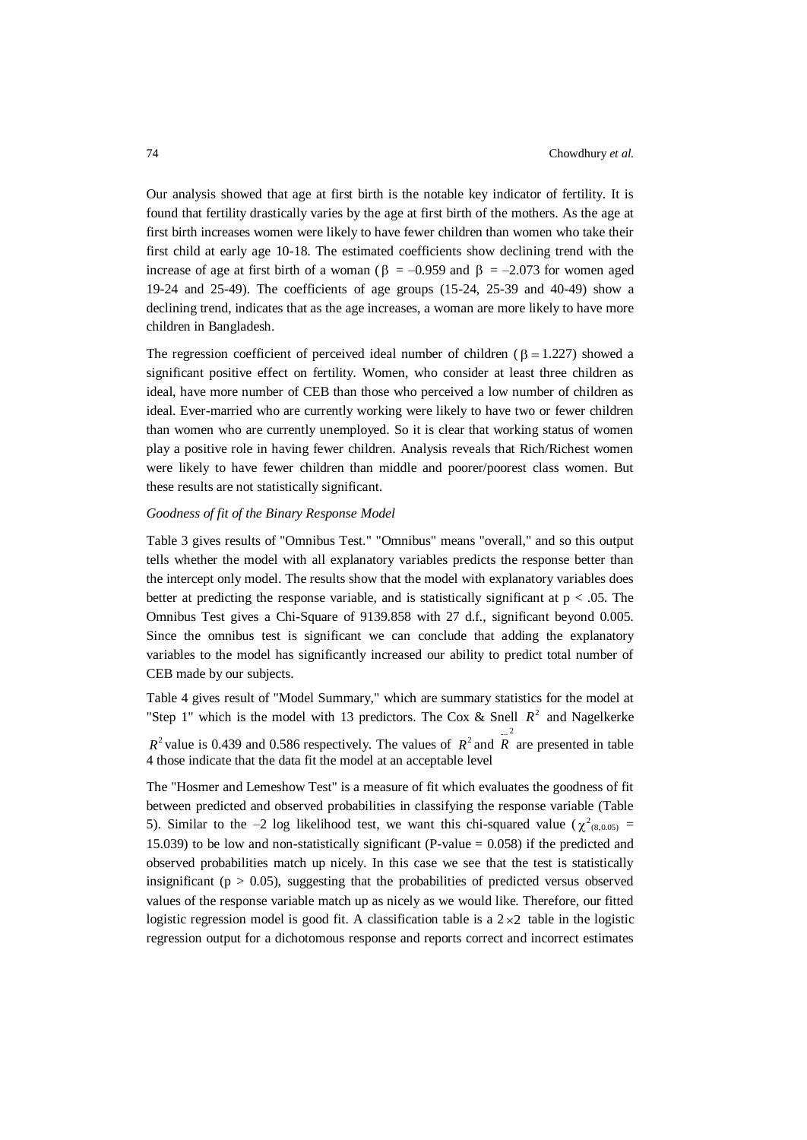Our analysis showed that age at first birth is the notable key indicator of fertility. It is found that fertility drastically varies by the age at first birth of the mothers. As the age at first birth increases women were likely to have fewer children than women who take their first child at early age 10-18. The estimated coefficients show declining trend with the increase of age at first birth of a woman ( $\beta$  = -0.959 and  $\beta$  = -2.073 for women aged 19-24 and 25-49). The coefficients of age groups (15-24, 25-39 and 40-49) show a declining trend, indicates that as the age increases, a woman are more likely to have more children in Bangladesh.

The regression coefficient of perceived ideal number of children ( $\beta = 1.227$ ) showed a significant positive effect on fertility. Women, who consider at least three children as ideal, have more number of CEB than those who perceived a low number of children as ideal. Ever-married who are currently working were likely to have two or fewer children than women who are currently unemployed. So it is clear that working status of women play a positive role in having fewer children. Analysis reveals that Rich/Richest women were likely to have fewer children than middle and poorer/poorest class women. But these results are not statistically significant.

### *Goodness of fit of the Binary Response Model*

Table 3 gives results of "Omnibus Test." "Omnibus" means "overall," and so this output tells whether the model with all explanatory variables predicts the response better than the intercept only model. The results show that the model with explanatory variables does better at predicting the response variable, and is statistically significant at  $p < .05$ . The Omnibus Test gives a Chi-Square of 9139.858 with 27 d.f., significant beyond 0.005. Since the omnibus test is significant we can conclude that adding the explanatory variables to the model has significantly increased our ability to predict total number of CEB made by our subjects.

Table 4 gives result of "Model Summary," which are summary statistics for the model at "Step 1" which is the model with 13 predictors. The Cox & Snell  $R^2$  and Nagelkerke  $R^2$  value is 0.439 and 0.586 respectively. The values of  $R^2$  and  $R^2$  are presented in table 4 those indicate that the data fit the model at an acceptable level

The "Hosmer and Lemeshow Test" is a measure of fit which evaluates the goodness of fit between predicted and observed probabilities in classifying the response variable (Table 5). Similar to the -2 log likelihood test, we want this chi-squared value ( $\chi^2_{(8,0.05)}$  = 15.039) to be low and non-statistically significant (P-value  $= 0.058$ ) if the predicted and observed probabilities match up nicely. In this case we see that the test is statistically insignificant ( $p > 0.05$ ), suggesting that the probabilities of predicted versus observed values of the response variable match up as nicely as we would like. Therefore, our fitted logistic regression model is good fit. A classification table is a  $2 \times 2$  table in the logistic regression output for a dichotomous response and reports correct and incorrect estimates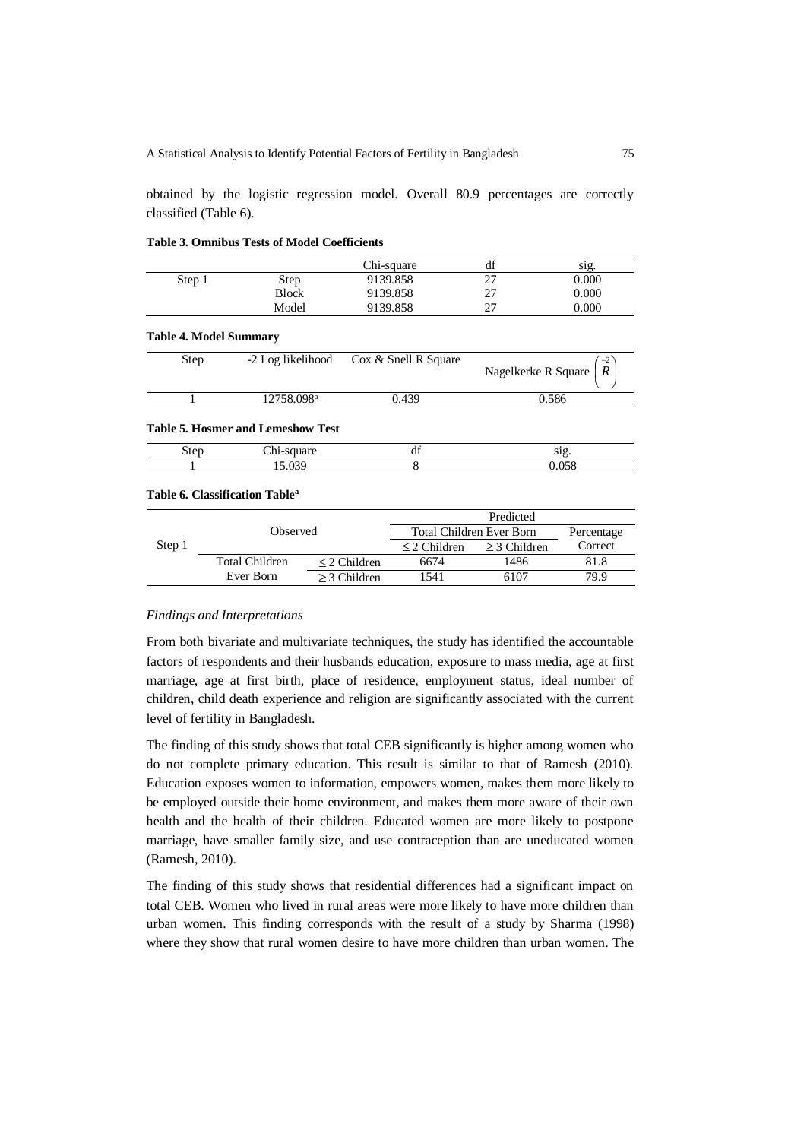obtained by the logistic regression model. Overall 80.9 percentages are correctly classified (Table 6).

|        |              | Chi-square | $\mathbf{r}$<br>đI | sig.  |
|--------|--------------|------------|--------------------|-------|
| Step 1 | <b>Step</b>  | 9139.858   | ^¬<br>∼            | 0.000 |
|        | <b>Block</b> | 9139.858   | n-<br>∼            | 0.000 |
|        | Model        | 9139.858   | ົ<br>∸             | 0.000 |

### **Table 3. Omnibus Tests of Model Coefficients**

### **Table 4. Model Summary**

| Step | -2 Log likelihood      | Cox & Snell R Square | $-2$<br>Nagelkerke R Square $ R $ |
|------|------------------------|----------------------|-----------------------------------|
|      | 12758.098 <sup>a</sup> | 0.439                | 0.586                             |

#### **Table 5. Hosmer and Lemeshow Test**

| tο | u | C1O<br>01 E |
|----|---|-------------|
|    |   |             |

## **Table 6. Classification Table<sup>a</sup>**

|        |                 |                   | Predicted                       |                   |            |  |
|--------|-----------------|-------------------|---------------------------------|-------------------|------------|--|
|        | <b>Observed</b> |                   | <b>Total Children Ever Born</b> |                   | Percentage |  |
| Step 1 |                 |                   | $\leq$ 2 Children               | $\geq$ 3 Children | Correct    |  |
|        | Total Children  | $\leq$ 2 Children | 6674                            | 1486              | 81.8       |  |
|        | Ever Born       | $>$ 3 Children    | 1541                            | 6107              | 79.9       |  |

### *Findings and Interpretations*

From both bivariate and multivariate techniques, the study has identified the accountable factors of respondents and their husbands education, exposure to mass media, age at first marriage, age at first birth, place of residence, employment status, ideal number of children, child death experience and religion are significantly associated with the current level of fertility in Bangladesh.

The finding of this study shows that total CEB significantly is higher among women who do not complete primary education. This result is similar to that of Ramesh (2010). Education exposes women to information, empowers women, makes them more likely to be employed outside their home environment, and makes them more aware of their own health and the health of their children. Educated women are more likely to postpone marriage, have smaller family size, and use contraception than are uneducated women (Ramesh, 2010).

The finding of this study shows that residential differences had a significant impact on total CEB. Women who lived in rural areas were more likely to have more children than urban women. This finding corresponds with the result of a study by Sharma (1998) where they show that rural women desire to have more children than urban women. The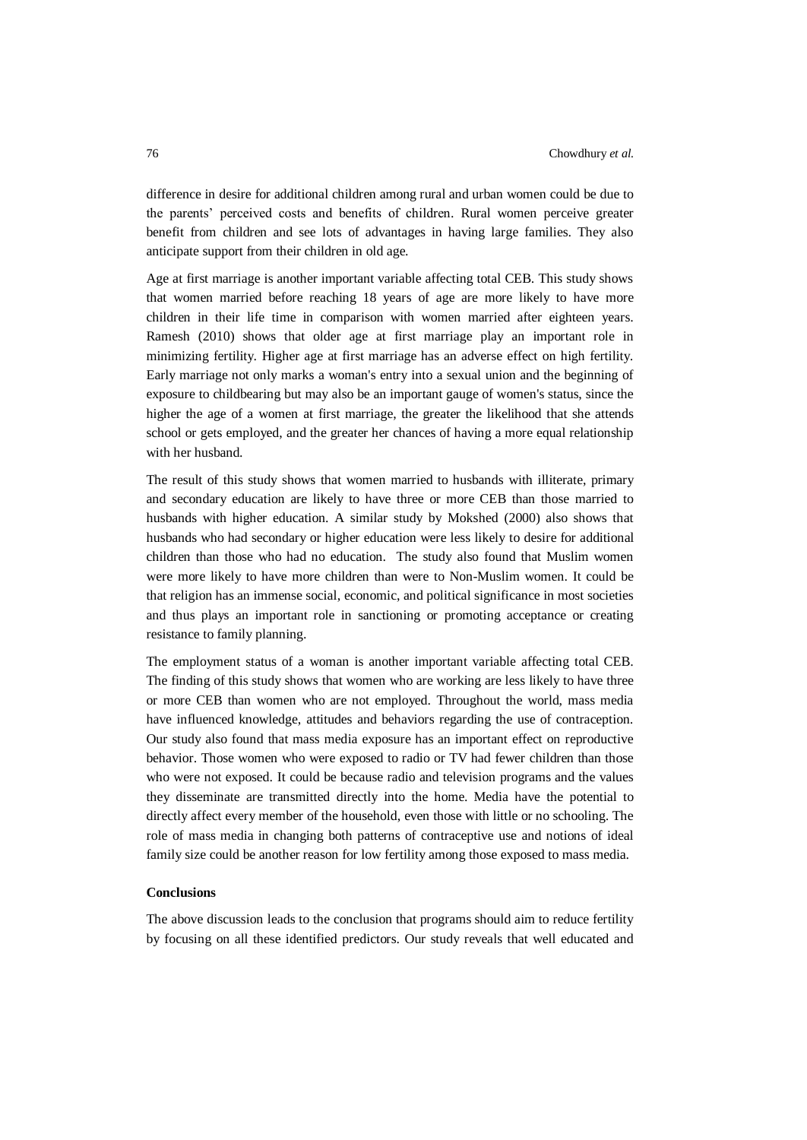difference in desire for additional children among rural and urban women could be due to the parents' perceived costs and benefits of children. Rural women perceive greater benefit from children and see lots of advantages in having large families. They also anticipate support from their children in old age.

Age at first marriage is another important variable affecting total CEB. This study shows that women married before reaching 18 years of age are more likely to have more children in their life time in comparison with women married after eighteen years. Ramesh (2010) shows that older age at first marriage play an important role in minimizing fertility. Higher age at first marriage has an adverse effect on high fertility. Early marriage not only marks a woman's entry into a sexual union and the beginning of exposure to childbearing but may also be an important gauge of women's status, since the higher the age of a women at first marriage, the greater the likelihood that she attends school or gets employed, and the greater her chances of having a more equal relationship with her husband.

The result of this study shows that women married to husbands with illiterate, primary and secondary education are likely to have three or more CEB than those married to husbands with higher education. A similar study by Mokshed (2000) also shows that husbands who had secondary or higher education were less likely to desire for additional children than those who had no education. The study also found that Muslim women were more likely to have more children than were to Non-Muslim women. It could be that religion has an immense social, economic, and political significance in most societies and thus plays an important role in sanctioning or promoting acceptance or creating resistance to family planning.

The employment status of a woman is another important variable affecting total CEB. The finding of this study shows that women who are working are less likely to have three or more CEB than women who are not employed. Throughout the world, mass media have influenced knowledge, attitudes and behaviors regarding the use of contraception. Our study also found that mass media exposure has an important effect on reproductive behavior. Those women who were exposed to radio or TV had fewer children than those who were not exposed. It could be because radio and television programs and the values they disseminate are transmitted directly into the home. Media have the potential to directly affect every member of the household, even those with little or no schooling. The role of mass media in changing both patterns of contraceptive use and notions of ideal family size could be another reason for low fertility among those exposed to mass media.

### **Conclusions**

The above discussion leads to the conclusion that programs should aim to reduce fertility by focusing on all these identified predictors. Our study reveals that well educated and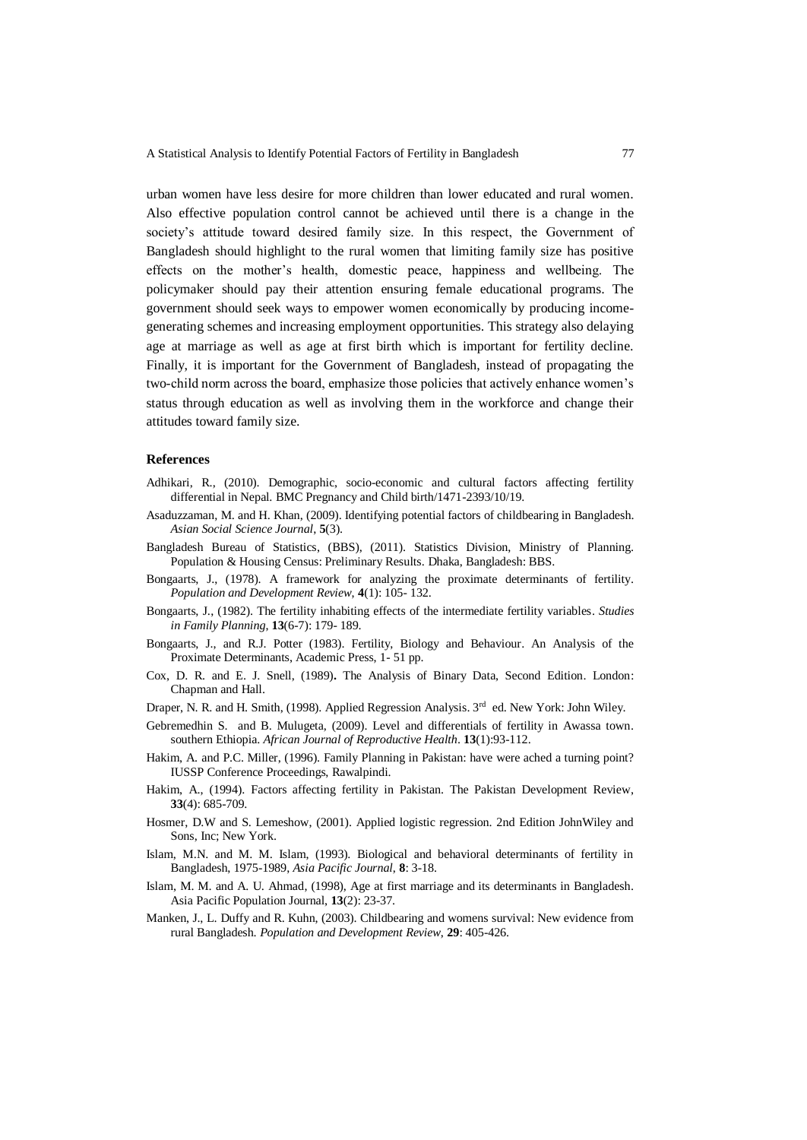urban women have less desire for more children than lower educated and rural women. Also effective population control cannot be achieved until there is a change in the society's attitude toward desired family size. In this respect, the Government of Bangladesh should highlight to the rural women that limiting family size has positive effects on the mother's health, domestic peace, happiness and wellbeing. The policymaker should pay their attention ensuring female educational programs. The government should seek ways to empower women economically by producing incomegenerating schemes and increasing employment opportunities. This strategy also delaying age at marriage as well as age at first birth which is important for fertility decline. Finally, it is important for the Government of Bangladesh, instead of propagating the two-child norm across the board, emphasize those policies that actively enhance women's status through education as well as involving them in the workforce and change their attitudes toward family size.

### **References**

- Adhikari, R., (2010). Demographic, socio-economic and cultural factors affecting fertility differential in Nepal. BMC Pregnancy and Child birth/1471-2393/10/19.
- Asaduzzaman, M. and H. Khan, (2009). Identifying potential factors of childbearing in Bangladesh. *Asian Social Science Journal*, **5**(3).
- Bangladesh Bureau of Statistics, (BBS), (2011). Statistics Division, Ministry of Planning. Population & Housing Census: Preliminary Results. Dhaka, Bangladesh: BBS.
- Bongaarts, J., (1978). A framework for analyzing the proximate determinants of fertility. *Population and Development Review*, **4**(1): 105- 132.
- Bongaarts, J., (1982). The fertility inhabiting effects of the intermediate fertility variables. *Studies in Family Planning*, **13**(6-7): 179- 189.
- Bongaarts, J., and R.J. Potter (1983). Fertility, Biology and Behaviour. An Analysis of the Proximate Determinants, Academic Press, 1- 51 pp.
- Cox, D. R. and E. J. Snell, (1989)**.** The Analysis of Binary Data, Second Edition. London: Chapman and Hall.
- Draper, N. R. and H. Smith, (1998). Applied Regression Analysis. 3<sup>rd</sup> ed. New York: John Wiley.
- Gebremedhin S. and B. Mulugeta, (2009). Level and differentials of fertility in Awassa town. southern Ethiopia. *African Journal of Reproductive Health*. **13**(1):93-112.
- Hakim, A. and P.C. Miller, (1996). Family Planning in Pakistan: have were ached a turning point? IUSSP Conference Proceedings, Rawalpindi.
- Hakim, A., (1994). Factors affecting fertility in Pakistan. The Pakistan Development Review, **33**(4): 685-709.
- Hosmer, D.W and S. Lemeshow, (2001). Applied logistic regression. 2nd Edition JohnWiley and Sons, Inc; New York.
- Islam, M.N. and M. M. Islam, (1993). Biological and behavioral determinants of fertility in Bangladesh, 1975-1989, *Asia Pacific Journal*, **8**: 3-18.
- Islam, M. M. and A. U. Ahmad, (1998), Age at first marriage and its determinants in Bangladesh. Asia Pacific Population Journal, **13**(2): 23-37.
- Manken, J., L. Duffy and R. Kuhn, (2003). Childbearing and womens survival: New evidence from rural Bangladesh. *Population and Development Review*, **29**: 405-426.